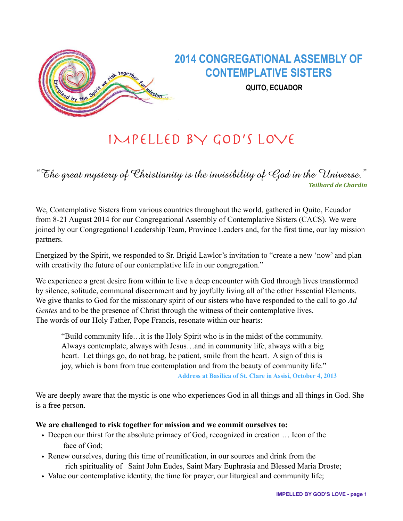

# IMPELLED BY GOD'S LOVE

"The great mystery of Christianity is the invisibility of God in the Universe." *Teilhard de Chardin*

We, Contemplative Sisters from various countries throughout the world, gathered in Quito, Ecuador from 8-21 August 2014 for our Congregational Assembly of Contemplative Sisters (CACS). We were joined by our Congregational Leadership Team, Province Leaders and, for the first time, our lay mission partners.

Energized by the Spirit, we responded to Sr. Brigid Lawlor's invitation to "create a new 'now' and plan with creativity the future of our contemplative life in our congregation."

We experience a great desire from within to live a deep encounter with God through lives transformed by silence, solitude, communal discernment and by joyfully living all of the other Essential Elements. We give thanks to God for the missionary spirit of our sisters who have responded to the call to go *Ad Gentes* and to be the presence of Christ through the witness of their contemplative lives. The words of our Holy Father, Pope Francis, resonate within our hearts:

"Build community life…it is the Holy Spirit who is in the midst of the community. Always contemplate, always with Jesus…and in community life, always with a big heart. Let things go, do not brag, be patient, smile from the heart. A sign of this is joy, which is born from true contemplation and from the beauty of community life." **Address at Basilica of St. Clare in Assisi, October 4, 2013** 

We are deeply aware that the mystic is one who experiences God in all things and all things in God. She is a free person.

# **We are challenged to risk together for mission and we commit ourselves to:**

- Deepen our thirst for the absolute primacy of God, recognized in creation ... Icon of the face of God;
- Renew ourselves, during this time of reunification, in our sources and drink from the rich spirituality of Saint John Eudes, Saint Mary Euphrasia and Blessed Maria Droste;
- Value our contemplative identity, the time for prayer, our liturgical and community life;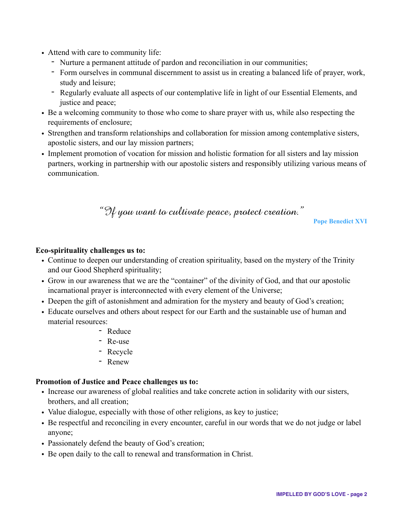- Attend with care to community life:
	- Nurture a permanent attitude of pardon and reconciliation in our communities;
	- Form ourselves in communal discernment to assist us in creating a balanced life of prayer, work, study and leisure;
	- Regularly evaluate all aspects of our contemplative life in light of our Essential Elements, and justice and peace;
- Be a welcoming community to those who come to share prayer with us, while also respecting the requirements of enclosure;
- Strengthen and transform relationships and collaboration for mission among contemplative sisters, apostolic sisters, and our lay mission partners;
- Implement promotion of vocation for mission and holistic formation for all sisters and lay mission partners, working in partnership with our apostolic sisters and responsibly utilizing various means of communication.

"If you want to cultivate peace, protect creation."

**Pope Benedict XVI** 

#### **Eco-spirituality challenges us to:**

- Continue to deepen our understanding of creation spirituality, based on the mystery of the Trinity and our Good Shepherd spirituality;
- Grow in our awareness that we are the "container" of the divinity of God, and that our apostolic incarnational prayer is interconnected with every element of the Universe;
- Deepen the gift of astonishment and admiration for the mystery and beauty of God's creation;
- Educate ourselves and others about respect for our Earth and the sustainable use of human and material resources:
	- Reduce
	- Re-use
	- Recycle
	- Renew

#### **Promotion of Justice and Peace challenges us to:**

- Increase our awareness of global realities and take concrete action in solidarity with our sisters, brothers, and all creation;
- Value dialogue, especially with those of other religions, as key to justice;
- Be respectful and reconciling in every encounter, careful in our words that we do not judge or label anyone;
- Passionately defend the beauty of God's creation;
- Be open daily to the call to renewal and transformation in Christ.